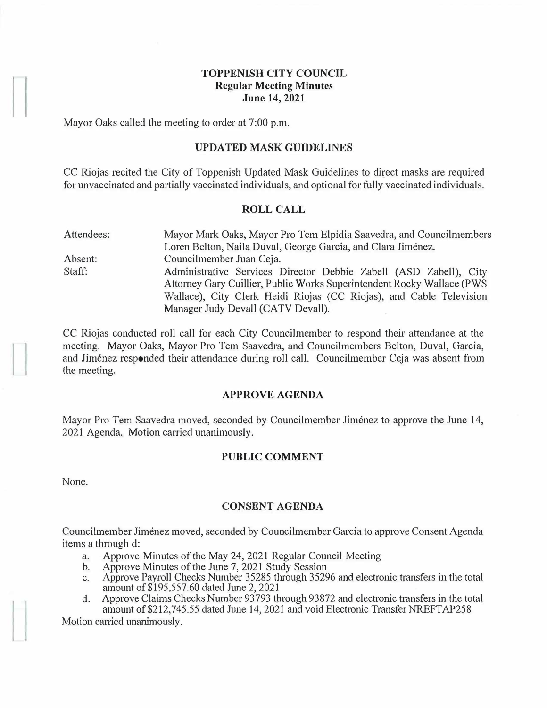### **TOPPENISH CITY COUNCIL Regular Meeting Minutes June 14, 2021**

Mayor Oaks called the meeting to order at 7:00 p.m.

### **UPDATED MASK GUIDELINES**

CC Riojas recited the City of Toppenish Updated Mask Guidelines to direct masks are required for unvaccinated and partially vaccinated individuals, and optional for fully vaccinated individuals.

#### **ROLL CALL**

| Attendees: | Mayor Mark Oaks, Mayor Pro Tem Elpidia Saavedra, and Councilmembers    |
|------------|------------------------------------------------------------------------|
|            | Loren Belton, Naila Duval, George Garcia, and Clara Jiménez.           |
| Absent:    | Councilmember Juan Ceja.                                               |
| Staff:     | Administrative Services Director Debbie Zabell (ASD Zabell), City      |
|            | Attorney Gary Cuillier, Public Works Superintendent Rocky Wallace (PWS |
|            | Wallace), City Clerk Heidi Riojas (CC Riojas), and Cable Television    |
|            | Manager Judy Devall (CATV Devall).                                     |

CC Riojas conducted roll call for each City Councilmember to respond their attendance at the meeting. Mayor Oaks, Mayor Pro Tem Saavedra, and Councilmembers Belton, Duval, Garcia, and Jimenez responded their attendance during roll call. Councilmember Ceja was absent from the meeting.

### **APPROVE AGENDA**

Mayor Pro Tem Saavedra moved, seconded by Councilmember Jiménez to approve the June 14, 2021 Agenda. Motion carried unanimously.

### **PUBLIC COMMENT**

None.

### **CONSENT AGENDA**

Councilmember Jimenez moved, seconded by Councilmember Garcia to approve Consent Agenda items a through d:

- a. Approve Minutes of the May 24, 2021 Regular Council Meeting
- b. Approve Minutes of the June 7, 2021 Study Session
- c. Approve Payroll Checks Number 35285 through 35296 and electronic transfers in the total amount of\$195,557.60 dated June 2, 2021
- d. Approve Claims Checks Number 93793 through 93872 and electronic transfers in the total amount of \$212,745.55 dated June 14, 2021 and void Electronic Transfer NREFTAP258

Motion carried unanimously.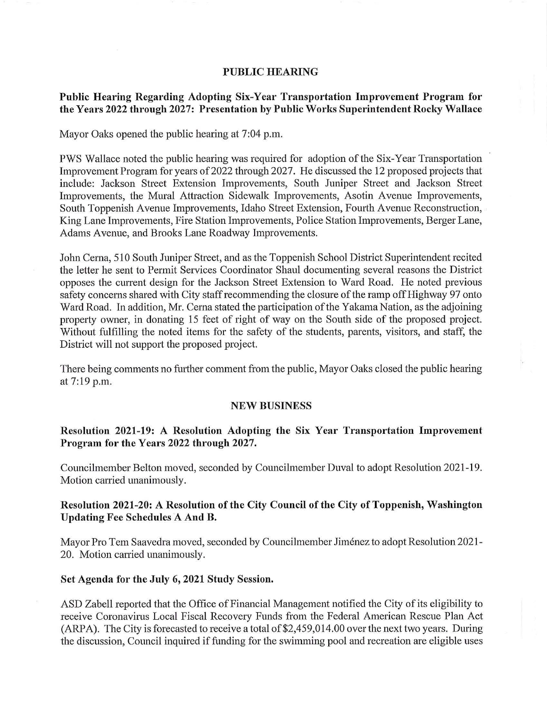#### **PUBLIC HEARING**

## **Public Hearing Regarding Adopting Six-Year Transportation Improvement Program for the Years 2022 through 2027: Presentation by Public Works Superintendent Rocky Wallace**

Mayor Oaks opened the public hearing at 7:04 p.m.

PWS Wallace noted the public hearing was required for adoption of the Six-Year Transportation Improvement Program for years of 2022 through 2027. He discussed the 12 proposed projects that include: Jackson Street Extension Improvements, South Juniper Street and Jackson Street Improvements, the Mural Attraction Sidewalk Improvements, Asotin A venue Improvements, South Toppenish Avenue Improvements, Idaho Street Extension, Fourth Avenue Reconstruction, King Lane Improvements, Fire Station Improvements, Police Station Improvements, Berger Lane, Adams Avenue, and Brooks Lane Roadway Improvements.

John Cerna, 510 South Juniper Street, and as the Toppenish School District Superintendent recited the letter he sent to Permit Services Coordinator Shaul documenting several reasons the District opposes the current design for the Jackson Street Extension to Ward Road. He noted previous safety concerns shared with City staff recommending the closure of the ramp off Highway 97 onto Ward Road. In addition, Mr. Cerna stated the participation of the Yakama Nation, as the adjoining property owner, in donating 15 feet of right of way on the South side of the proposed project. Without fulfilling the noted items for the safety of the students, parents, visitors, and staff, the District will not support the proposed project.

There being comments no further comment from the public, Mayor Oaks closed the public hearing at 7:19 p.m.

#### **NEW BUSINESS**

## **Resolution 2021-19: A Resolution Adopting the Six Year Transportation Improvement Program for the Years 2022 through 2027.**

Councilmember Belton moved, seconded by Councilmember Duval to adopt Resolution 2021-19. Motion carried unanimously.

## **Resolution 2021-20: A Resolution of the City Council of the City of Toppenish, Washington Updating Fee Schedules A And B.**

Mayor Pro Tem Saavedra moved, seconded by Councilmember Jiménez to adopt Resolution 2021-20. Motion carried unanimously.

#### **Set Agenda for the July 6, 2021 Study Session.**

ASD Zabell reported that the Office of Financial Management notified the City of its eligibility to receive Coronavirus Local Fiscal Recovery Funds from the Federal American Rescue Plan Act (ARPA). The City is forecasted to receive a total of \$2,459,014.00 over the next two years. During the discussion, Council inquired if funding for the swimming pool and recreation are eligible uses